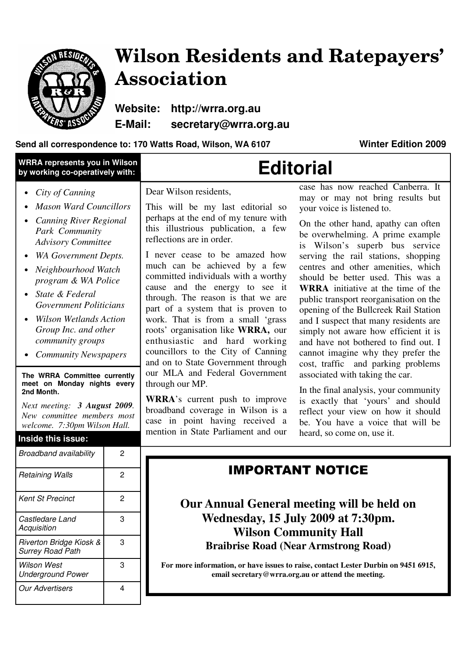

# **Wilson Residents and Ratepayers' Association**

**Website: http://wrra.org.au E-Mail: secretary@wrra.org.au** 

# **Send all correspondence to: 170 Watts Road, Wilson, WA 6107 Winter Edition 2009**

| <b>WRRA represents you in Wilson</b><br>by working co-operatively with:                                                                                                                                                                                                                                                                                                                                                                                                                                                                                  |                | <b>Editorial</b>                                                                                                                                                                                                                                                                                                                                                                                                                                                                                                                                                                                                                                                                                                                                                                                     |                                                                                                                                                                                                                                                                                                                                                                                                                                                                                                                                                                                                                                                                                                                                                                                                                                                                                                              |
|----------------------------------------------------------------------------------------------------------------------------------------------------------------------------------------------------------------------------------------------------------------------------------------------------------------------------------------------------------------------------------------------------------------------------------------------------------------------------------------------------------------------------------------------------------|----------------|------------------------------------------------------------------------------------------------------------------------------------------------------------------------------------------------------------------------------------------------------------------------------------------------------------------------------------------------------------------------------------------------------------------------------------------------------------------------------------------------------------------------------------------------------------------------------------------------------------------------------------------------------------------------------------------------------------------------------------------------------------------------------------------------------|--------------------------------------------------------------------------------------------------------------------------------------------------------------------------------------------------------------------------------------------------------------------------------------------------------------------------------------------------------------------------------------------------------------------------------------------------------------------------------------------------------------------------------------------------------------------------------------------------------------------------------------------------------------------------------------------------------------------------------------------------------------------------------------------------------------------------------------------------------------------------------------------------------------|
| City of Canning<br><b>Mason Ward Councillors</b><br><b>Canning River Regional</b><br>Park Community<br><b>Advisory Committee</b><br><b>WA Government Depts.</b><br>Neighbourhood Watch<br>program & WA Police<br>State & Federal<br><b>Government Politicians</b><br><b>Wilson Wetlands Action</b><br>Group Inc. and other<br>community groups<br><b>Community Newspapers</b><br>The WRRA Committee currently<br>meet on Monday nights every<br>2nd Month.<br>Next meeting: 3 August 2009.<br>New committee members most<br>welcome. 7:30pm Wilson Hall. |                | Dear Wilson residents,<br>This will be my last editorial so<br>perhaps at the end of my tenure with<br>this illustrious publication, a few<br>reflections are in order.<br>I never cease to be amazed how<br>much can be achieved by a few<br>committed individuals with a worthy<br>cause and the energy to see it<br>through. The reason is that we are<br>part of a system that is proven to<br>work. That is from a small 'grass<br>roots' organisation like WRRA, our<br>enthusiastic and hard working<br>councillors to the City of Canning<br>and on to State Government through<br>our MLA and Federal Government<br>through our MP.<br><b>WRRA's</b> current push to improve<br>broadband coverage in Wilson is a<br>case in point having received a<br>mention in State Parliament and our | case has now reached Canberra. It<br>may or may not bring results but<br>your voice is listened to.<br>On the other hand, apathy can often<br>be overwhelming. A prime example<br>Wilson's superb bus service<br><i>is</i><br>serving the rail stations, shopping<br>centres and other amenities, which<br>should be better used. This was a<br><b>WRRA</b> initiative at the time of the<br>public transport reorganisation on the<br>opening of the Bullcreek Rail Station<br>and I suspect that many residents are<br>simply not aware how efficient it is<br>and have not bothered to find out. I<br>cannot imagine why they prefer the<br>cost, traffic and parking problems<br>associated with taking the car.<br>In the final analysis, your community<br>is exactly that 'yours' and should<br>reflect your view on how it should<br>be. You have a voice that will be<br>heard, so come on, use it. |
| Broadband availability                                                                                                                                                                                                                                                                                                                                                                                                                                                                                                                                   | $\overline{c}$ |                                                                                                                                                                                                                                                                                                                                                                                                                                                                                                                                                                                                                                                                                                                                                                                                      |                                                                                                                                                                                                                                                                                                                                                                                                                                                                                                                                                                                                                                                                                                                                                                                                                                                                                                              |
| <b>Retaining Walls</b>                                                                                                                                                                                                                                                                                                                                                                                                                                                                                                                                   | $\overline{2}$ | <b>IMPORTANT NOTICE</b><br>Our Annual General meeting will be held on<br><b>Wednesday, 15 July 2009 at 7:30pm.</b><br><b>Wilson Community Hall</b><br><b>Braibrise Road (Near Armstrong Road)</b><br>For more information, or have issues to raise, contact Lester Durbin on 9451 6915,<br>email secretary@wrra.org.au or attend the meeting.                                                                                                                                                                                                                                                                                                                                                                                                                                                        |                                                                                                                                                                                                                                                                                                                                                                                                                                                                                                                                                                                                                                                                                                                                                                                                                                                                                                              |
| <b>Kent St Precinct</b>                                                                                                                                                                                                                                                                                                                                                                                                                                                                                                                                  | $\overline{2}$ |                                                                                                                                                                                                                                                                                                                                                                                                                                                                                                                                                                                                                                                                                                                                                                                                      |                                                                                                                                                                                                                                                                                                                                                                                                                                                                                                                                                                                                                                                                                                                                                                                                                                                                                                              |
| Castledare Land<br><b>Acquisition</b>                                                                                                                                                                                                                                                                                                                                                                                                                                                                                                                    | 3              |                                                                                                                                                                                                                                                                                                                                                                                                                                                                                                                                                                                                                                                                                                                                                                                                      |                                                                                                                                                                                                                                                                                                                                                                                                                                                                                                                                                                                                                                                                                                                                                                                                                                                                                                              |
| Riverton Bridge Kiosk &<br><b>Surrey Road Path</b>                                                                                                                                                                                                                                                                                                                                                                                                                                                                                                       | 3              |                                                                                                                                                                                                                                                                                                                                                                                                                                                                                                                                                                                                                                                                                                                                                                                                      |                                                                                                                                                                                                                                                                                                                                                                                                                                                                                                                                                                                                                                                                                                                                                                                                                                                                                                              |
| Wilson West<br><b>Underground Power</b>                                                                                                                                                                                                                                                                                                                                                                                                                                                                                                                  | 3              |                                                                                                                                                                                                                                                                                                                                                                                                                                                                                                                                                                                                                                                                                                                                                                                                      |                                                                                                                                                                                                                                                                                                                                                                                                                                                                                                                                                                                                                                                                                                                                                                                                                                                                                                              |
| <b>Our Advertisers</b>                                                                                                                                                                                                                                                                                                                                                                                                                                                                                                                                   | 4              |                                                                                                                                                                                                                                                                                                                                                                                                                                                                                                                                                                                                                                                                                                                                                                                                      |                                                                                                                                                                                                                                                                                                                                                                                                                                                                                                                                                                                                                                                                                                                                                                                                                                                                                                              |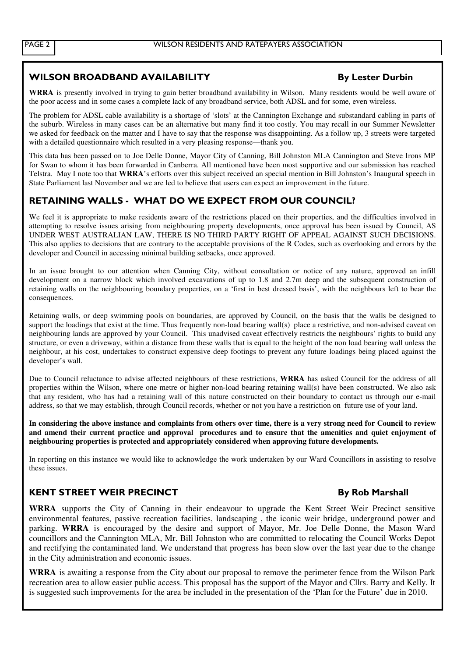### WILSON BROADBAND AVAILABILITY By Lester Durbin

**WRRA** is presently involved in trying to gain better broadband availability in Wilson. Many residents would be well aware of the poor access and in some cases a complete lack of any broadband service, both ADSL and for some, even wireless.

The problem for ADSL cable availability is a shortage of 'slots' at the Cannington Exchange and substandard cabling in parts of the suburb. Wireless in many cases can be an alternative but many find it too costly. You may recall in our Summer Newsletter we asked for feedback on the matter and I have to say that the response was disappointing. As a follow up, 3 streets were targeted with a detailed questionnaire which resulted in a very pleasing response—thank you.

This data has been passed on to Joe Delle Donne, Mayor City of Canning, Bill Johnston MLA Cannington and Steve Irons MP for Swan to whom it has been forwarded in Canberra. All mentioned have been most supportive and our submission has reached Telstra. May I note too that **WRRA**'s efforts over this subject received an special mention in Bill Johnston's Inaugural speech in State Parliament last November and we are led to believe that users can expect an improvement in the future.

## RETAINING WALLS - WHAT DO WE EXPECT FROM OUR COUNCIL?

We feel it is appropriate to make residents aware of the restrictions placed on their properties, and the difficulties involved in attempting to resolve issues arising from neighbouring property developments, once approval has been issued by Council, AS UNDER WEST AUSTRALIAN LAW, THERE IS NO THIRD PARTY RIGHT OF APPEAL AGAINST SUCH DECISIONS. This also applies to decisions that are contrary to the acceptable provisions of the R Codes, such as overlooking and errors by the developer and Council in accessing minimal building setbacks, once approved.

In an issue brought to our attention when Canning City, without consultation or notice of any nature, approved an infill development on a narrow block which involved excavations of up to 1.8 and 2.7m deep and the subsequent construction of retaining walls on the neighbouring boundary properties, on a 'first in best dressed basis', with the neighbours left to bear the consequences.

Retaining walls, or deep swimming pools on boundaries, are approved by Council, on the basis that the walls be designed to support the loadings that exist at the time. Thus frequently non-load bearing wall(s) place a restrictive, and non-advised caveat on neighbouring lands are approved by your Council. This unadvised caveat effectively restricts the neighbours' rights to build any structure, or even a driveway, within a distance from these walls that is equal to the height of the non load bearing wall unless the neighbour, at his cost, undertakes to construct expensive deep footings to prevent any future loadings being placed against the developer's wall.

Due to Council reluctance to advise affected neighbours of these restrictions, **WRRA** has asked Council for the address of all properties within the Wilson, where one metre or higher non-load bearing retaining wall(s) have been constructed. We also ask that any resident, who has had a retaining wall of this nature constructed on their boundary to contact us through our e-mail address, so that we may establish, through Council records, whether or not you have a restriction on future use of your land.

**In considering the above instance and complaints from others over time, there is a very strong need for Council to review and amend their current practice and approval procedures and to ensure that the amenities and quiet enjoyment of neighbouring properties is protected and appropriately considered when approving future developments.** 

In reporting on this instance we would like to acknowledge the work undertaken by our Ward Councillors in assisting to resolve these issues.

### KENT STREET WEIR PRECINCT **By Rob Marshall**

**WRRA** supports the City of Canning in their endeavour to upgrade the Kent Street Weir Precinct sensitive environmental features, passive recreation facilities, landscaping , the iconic weir bridge, underground power and parking. **WRRA** is encouraged by the desire and support of Mayor, Mr. Joe Delle Donne, the Mason Ward councillors and the Cannington MLA, Mr. Bill Johnston who are committed to relocating the Council Works Depot and rectifying the contaminated land. We understand that progress has been slow over the last year due to the change in the City administration and economic issues.

**WRRA** is awaiting a response from the City about our proposal to remove the perimeter fence from the Wilson Park recreation area to allow easier public access. This proposal has the support of the Mayor and Cllrs. Barry and Kelly. It is suggested such improvements for the area be included in the presentation of the 'Plan for the Future' due in 2010.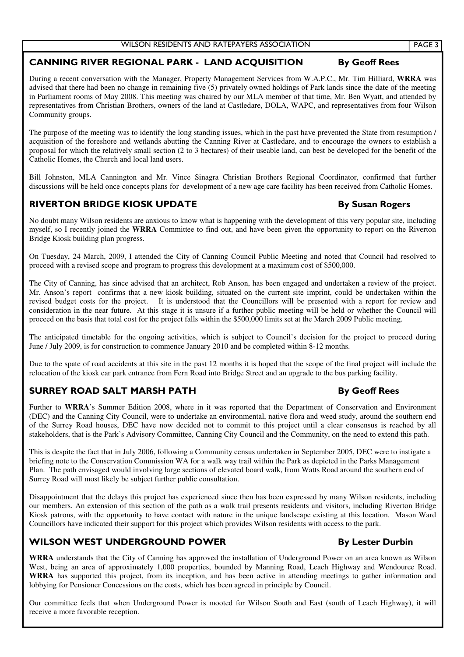### CANNING RIVER REGIONAL PARK - LAND ACQUISITION By Geoff Rees

During a recent conversation with the Manager, Property Management Services from W.A.P.C., Mr. Tim Hilliard, **WRRA** was advised that there had been no change in remaining five (5) privately owned holdings of Park lands since the date of the meeting in Parliament rooms of May 2008. This meeting was chaired by our MLA member of that time, Mr. Ben Wyatt, and attended by representatives from Christian Brothers, owners of the land at Castledare, DOLA, WAPC, and representatives from four Wilson Community groups.

The purpose of the meeting was to identify the long standing issues, which in the past have prevented the State from resumption / acquisition of the foreshore and wetlands abutting the Canning River at Castledare, and to encourage the owners to establish a proposal for which the relatively small section (2 to 3 hectares) of their useable land, can best be developed for the benefit of the Catholic Homes, the Church and local land users.

Bill Johnston, MLA Cannington and Mr. Vince Sinagra Christian Brothers Regional Coordinator, confirmed that further discussions will be held once concepts plans for development of a new age care facility has been received from Catholic Homes.

## RIVERTON BRIDGE KIOSK UPDATE By Susan Rogers

No doubt many Wilson residents are anxious to know what is happening with the development of this very popular site, including myself, so I recently joined the **WRRA** Committee to find out, and have been given the opportunity to report on the Riverton Bridge Kiosk building plan progress.

On Tuesday, 24 March, 2009, I attended the City of Canning Council Public Meeting and noted that Council had resolved to proceed with a revised scope and program to progress this development at a maximum cost of \$500,000.

The City of Canning, has since advised that an architect, Rob Anson, has been engaged and undertaken a review of the project. Mr. Anson's report confirms that a new kiosk building, situated on the current site imprint, could be undertaken within the revised budget costs for the project. It is understood that the Councillors will be presented with a report for review and consideration in the near future. At this stage it is unsure if a further public meeting will be held or whether the Council will proceed on the basis that total cost for the project falls within the \$500,000 limits set at the March 2009 Public meeting.

The anticipated timetable for the ongoing activities, which is subject to Council's decision for the project to proceed during June / July 2009, is for construction to commence January 2010 and be completed within 8-12 months.

Due to the spate of road accidents at this site in the past 12 months it is hoped that the scope of the final project will include the relocation of the kiosk car park entrance from Fern Road into Bridge Street and an upgrade to the bus parking facility.

# SURREY ROAD SALT MARSH PATH By Geoff Rees

Further to **WRRA**'s Summer Edition 2008, where in it was reported that the Department of Conservation and Environment (DEC) and the Canning City Council, were to undertake an environmental, native flora and weed study, around the southern end of the Surrey Road houses, DEC have now decided not to commit to this project until a clear consensus is reached by all stakeholders, that is the Park's Advisory Committee, Canning City Council and the Community, on the need to extend this path.

This is despite the fact that in July 2006, following a Community census undertaken in September 2005, DEC were to instigate a briefing note to the Conservation Commission WA for a walk way trail within the Park as depicted in the Parks Management Plan. The path envisaged would involving large sections of elevated board walk, from Watts Road around the southern end of Surrey Road will most likely be subject further public consultation.

Disappointment that the delays this project has experienced since then has been expressed by many Wilson residents, including our members. An extension of this section of the path as a walk trail presents residents and visitors, including Riverton Bridge Kiosk patrons, with the opportunity to have contact with nature in the unique landscape existing at this location. Mason Ward Councillors have indicated their support for this project which provides Wilson residents with access to the park.

## WILSON WEST UNDERGROUND POWER By Lester Durbin

**WRRA** understands that the City of Canning has approved the installation of Underground Power on an area known as Wilson West, being an area of approximately 1,000 properties, bounded by Manning Road, Leach Highway and Wendouree Road. **WRRA** has supported this project, from its inception, and has been active in attending meetings to gather information and lobbying for Pensioner Concessions on the costs, which has been agreed in principle by Council.

Our committee feels that when Underground Power is mooted for Wilson South and East (south of Leach Highway), it will receive a more favorable reception.